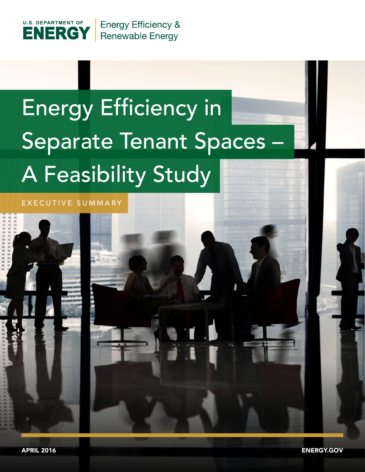

## Energy Efficiency in Separate Tenant Spaces A Feasibility Study

EXECUTIVE SUMMARY

APRIL 2016 ENERGY.GOV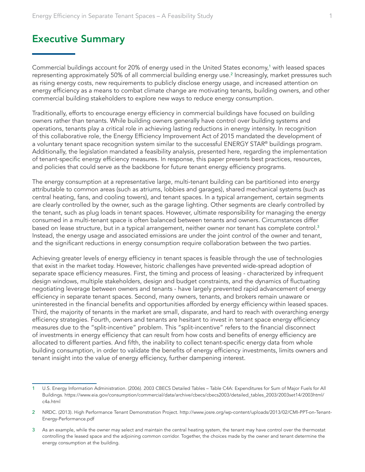## Executive Summary

Commercial buildings account for 20% of energy used in the United States economy, $^1$  with leased spaces representing approximately 50% of all commercial building energy use.<sup>2</sup> Increasingly, market pressures such as rising energy costs, new requirements to publicly disclose energy usage, and increased attention on energy efficiency as a means to combat climate change are motivating tenants, building owners, and other commercial building stakeholders to explore new ways to reduce energy consumption.

Traditionally, efforts to encourage energy efficiency in commercial buildings have focused on building owners rather than tenants. While building owners generally have control over building systems and operations, tenants play a critical role in achieving lasting reductions in energy intensity. In recognition of this collaborative role, the Energy Efficiency Improvement Act of 2015 mandated the development of a voluntary tenant space recognition system similar to the successful ENERGY STAR® buildings program. Additionally, the legislation mandated a feasibility analysis, presented here, regarding the implementation of tenant-specific energy efficiency measures. In response, this paper presents best practices, resources, and policies that could serve as the backbone for future tenant energy efficiency programs.

The energy consumption at a representative large, multi-tenant building can be partitioned into energy attributable to common areas (such as atriums, lobbies and garages), shared mechanical systems (such as central heating, fans, and cooling towers), and tenant spaces. In a typical arrangement, certain segments are clearly controlled by the owner, such as the garage lighting. Other segments are clearly controlled by the tenant, such as plug loads in tenant spaces. However, ultimate responsibility for managing the energy consumed in a multi-tenant space is often balanced between tenants and owners. Circumstances differ based on lease structure, but in a typical arrangement, neither owner nor tenant has complete control.<sup>3</sup> Instead, the energy usage and associated emissions are under the joint control of the owner and tenant, and the significant reductions in energy consumption require collaboration between the two parties.

Achieving greater levels of energy efficiency in tenant spaces is feasible through the use of technologies that exist in the market today. However, historic challenges have prevented wide-spread adoption of separate space efficiency measures. First, the timing and process of leasing - characterized by infrequent design windows, multiple stakeholders, design and budget constraints, and the dynamics of fluctuating negotiating leverage between owners and tenants - have largely prevented rapid advancement of energy efficiency in separate tenant spaces. Second, many owners, tenants, and brokers remain unaware or uninterested in the financial benefits and opportunities afforded by energy efficiency within leased spaces. Third, the majority of tenants in the market are small, disparate, and hard to reach with overarching energy efficiency strategies. Fourth, owners and tenants are hesitant to invest in tenant space energy efficiency measures due to the "split-incentive" problem. This "split-incentive" refers to the financial disconnect of investments in energy efficiency that can result from how costs and benefits of energy efficiency are allocated to different parties. And fifth, the inability to collect tenant-specific energy data from whole building consumption, in order to validate the benefits of energy efficiency investments, limits owners and tenant insight into the value of energy efficiency, further dampening interest.

<sup>1</sup> U.S. Energy Information Administration. (2006). 2003 CBECS Detailed Tables – Table C4A: Expenditures for Sum of Major Fuels for All Buildings. https://www.eia.gov/consumption/commercial/data/archive/cbecs/cbecs2003/detailed\_tables\_2003/2003set14/2003html/ c4a.html

<sup>2</sup> NRDC. (2013). High Performance Tenant Demonstration Project. http://www.josre.org/wp-content/uploads/2013/02/CMI-PPT-on-Tenant-Energy-Performance.pdf

<sup>3</sup> As an example, while the owner may select and maintain the central heating system, the tenant may have control over the thermostat controlling the leased space and the adjoining common corridor. Together, the choices made by the owner and tenant determine the energy consumption at the building.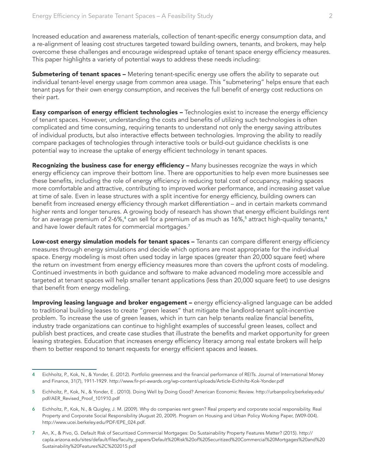Increased education and awareness materials, collection of tenant-specific energy consumption data, and a re-alignment of leasing cost structures targeted toward building owners, tenants, and brokers, may help overcome these challenges and encourage widespread uptake of tenant space energy efficiency measures. This paper highlights a variety of potential ways to address these needs including:

**Submetering of tenant spaces –** Metering tenant-specific energy use offers the ability to separate out individual tenant-level energy usage from common area usage. This "submetering" helps ensure that each tenant pays for their own energy consumption, and receives the full benefit of energy cost reductions on their part.

**Easy comparison of energy efficient technologies –** Technologies exist to increase the energy efficiency of tenant spaces. However, understanding the costs and benefits of utilizing such technologies is often complicated and time consuming, requiring tenants to understand not only the energy saving attributes of individual products, but also interactive effects between technologies. Improving the ability to readily compare packages of technologies through interactive tools or build-out guidance checklists is one potential way to increase the uptake of energy efficient technology in tenant spaces.

Recognizing the business case for energy efficiency - Many businesses recognize the ways in which energy efficiency can improve their bottom line. There are opportunities to help even more businesses see these benefits, including the role of energy efficiency in reducing total cost of occupancy, making spaces more comfortable and attractive, contributing to improved worker performance, and increasing asset value at time of sale. Even in lease structures with a split incentive for energy efficiency, building owners can benefit from increased energy efficiency through market differentiation – and in certain markets command higher rents and longer tenures. A growing body of research has shown that energy efficient buildings rent for an average premium of 2-6%, $^{\text{4}}$  can sell for a premium of as much as 16%, $^{\text{5}}$  attract high-quality tenants, $^{\text{6}}$ and have lower default rates for commercial mortgages.<sup>7</sup>

Low-cost energy simulation models for tenant spaces - Tenants can compare different energy efficiency measures through energy simulations and decide which options are most appropriate for the individual space. Energy modeling is most often used today in large spaces (greater than 20,000 square feet) where the return on investment from energy efficiency measures more than covers the upfront costs of modeling. Continued investments in both guidance and software to make advanced modeling more accessible and targeted at tenant spaces will help smaller tenant applications (less than 20,000 square feet) to use designs that benefit from energy modeling.

Improving leasing language and broker engagement - energy efficiency-aligned language can be added to traditional building leases to create "green leases" that mitigate the landlord-tenant split-incentive problem. To increase the use of green leases, which in turn can help tenants realize financial benefits, industry trade organizations can continue to highlight examples of successful green leases, collect and publish best practices, and create case studies that illustrate the benefits and market opportunity for green leasing strategies. Education that increases energy efficiency literacy among real estate brokers will help them to better respond to tenant requests for energy efficient spaces and leases.

<sup>4</sup> Eichholtz, P., Kok, N., & Yonder, E. (2012). Portfolio greenness and the financial performance of REITs. Journal of International Money and Finance, 31(7), 1911-1929. http://www.fir-pri-awards.org/wp-content/uploads/Article-Eichhiltz-Kok-Yonder.pdf

<sup>5</sup> Eichholtz, P., Kok, N., & Yonder, E . (2010). Doing Well by Doing Good? American Economic Review. http://urbanpolicy.berkeley.edu/ pdf/AER\_Revised\_Proof\_101910.pdf

<sup>6</sup> Eichholtz, P., Kok, N., & Quigley, J. M. (2009). Why do companies rent green? Real property and corporate social responsibility. Real Property and Corporate Social Responsibility (August 20, 2009). Program on Housing and Urban Policy Working Paper, (W09-004). http://www.ucei.berkeley.edu/PDF/EPE\_024.pdf.

<sup>7</sup> An, X., & Pivo, G. Default Risk of Securitized Commercial Mortgages: Do Sustainability Property Features Matter? (2015). http:// capla.arizona.edu/sites/default/files/faculty\_papers/Default%20Risk%20of%20Securitized%20Commercial%20Mortgages%20and%20 Sustainability%20Features%2C%202015.pdf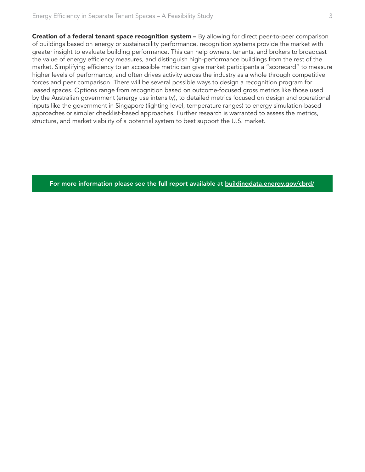Creation of a federal tenant space recognition system - By allowing for direct peer-to-peer comparison of buildings based on energy or sustainability performance, recognition systems provide the market with greater insight to evaluate building performance. This can help owners, tenants, and brokers to broadcast the value of energy efficiency measures, and distinguish high-performance buildings from the rest of the market. Simplifying efficiency to an accessible metric can give market participants a "scorecard" to measure higher levels of performance, and often drives activity across the industry as a whole through competitive forces and peer comparison. There will be several possible ways to design a recognition program for leased spaces. Options range from recognition based on outcome-focused gross metrics like those used by the Australian government (energy use intensity), to detailed metrics focused on design and operational inputs like the government in Singapore (lighting level, temperature ranges) to energy simulation-based approaches or simpler checklist-based approaches. Further research is warranted to assess the metrics, structure, and market viability of a potential system to best support the U.S. market.

[For more information please see the full report available at buildingdata.energy.gov/cbrd/](https://buildingdata.energy.gov/cbrd/)